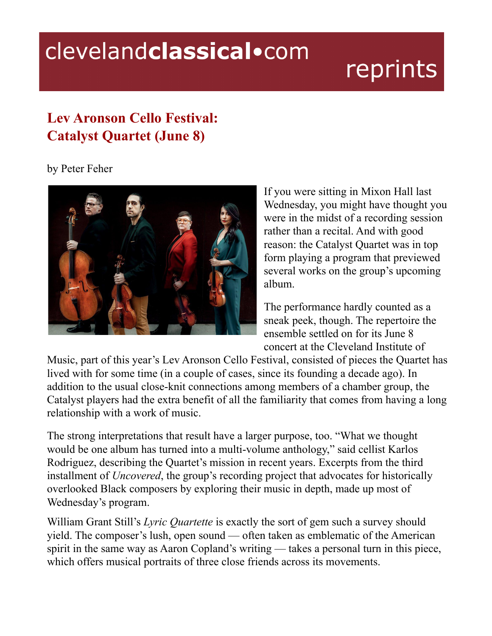## clevelandclassical.com

## reprints

## **Lev Aronson Cello Festival: Catalyst Quartet (June 8)**

## by Peter Feher



If you were sitting in Mixon Hall last Wednesday, you might have thought you were in the midst of a recording session rather than a recital. And with good reason: the Catalyst Quartet was in top form playing a program that previewed several works on the group's upcoming album.

The performance hardly counted as a sneak peek, though. The repertoire the ensemble settled on for its June 8 concert at the Cleveland Institute of

Music, part of this year's Lev Aronson Cello Festival, consisted of pieces the Quartet has lived with for some time (in a couple of cases, since its founding a decade ago). In addition to the usual close-knit connections among members of a chamber group, the Catalyst players had the extra benefit of all the familiarity that comes from having a long relationship with a work of music.

The strong interpretations that result have a larger purpose, too. "What we thought would be one album has turned into a multi-volume anthology," said cellist Karlos Rodriguez, describing the Quartet's mission in recent years. Excerpts from the third installment of *Uncovered*, the group's recording project that advocates for historically overlooked Black composers by exploring their music in depth, made up most of Wednesday's program.

William Grant Still's *Lyric Quartette* is exactly the sort of gem such a survey should yield. The composer's lush, open sound — often taken as emblematic of the American spirit in the same way as Aaron Copland's writing — takes a personal turn in this piece, which offers musical portraits of three close friends across its movements.